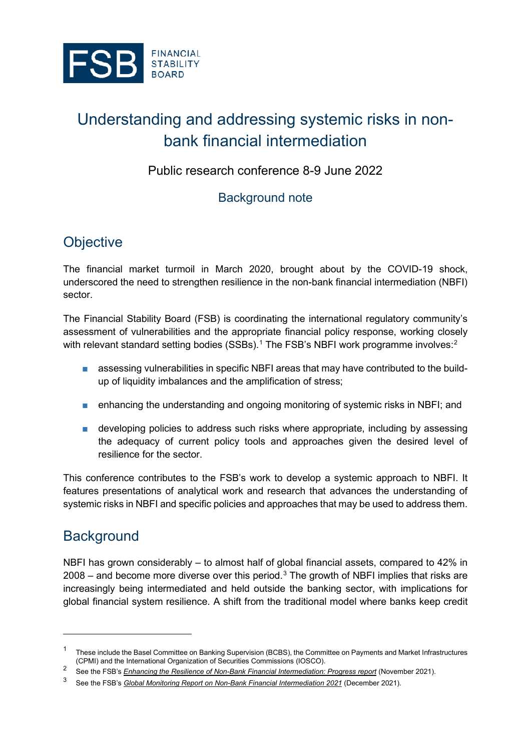

# Understanding and addressing systemic risks in nonbank financial intermediation

Public research conference 8-9 June 2022

### Background note

## **Objective**

The financial market turmoil in March 2020, brought about by the COVID-19 shock, underscored the need to strengthen resilience in the non-bank financial intermediation (NBFI) sector.

The Financial Stability Board (FSB) is coordinating the international regulatory community's assessment of vulnerabilities and the appropriate financial policy response, working closely with relevant standard setting bodies (SSBs).<sup>[1](#page-0-0)</sup> The FSB's NBFI work programme involves:<sup>[2](#page-0-1)</sup>

- assessing vulnerabilities in specific NBFI areas that may have contributed to the buildup of liquidity imbalances and the amplification of stress;
- enhancing the understanding and ongoing monitoring of systemic risks in NBFI; and
- developing policies to address such risks where appropriate, including by assessing the adequacy of current policy tools and approaches given the desired level of resilience for the sector.

This conference contributes to the FSB's work to develop a systemic approach to NBFI. It features presentations of analytical work and research that advances the understanding of systemic risks in NBFI and specific policies and approaches that may be used to address them.

## **Background**

NBFI has grown considerably – to almost half of global financial assets, compared to 42% in 2008 – and become more diverse over this period.<sup>[3](#page-0-2)</sup> The growth of NBFI implies that risks are increasingly being intermediated and held outside the banking sector, with implications for global financial system resilience. A shift from the traditional model where banks keep credit

<span id="page-0-0"></span> $^{\rm 1}$  These include the Basel Committee on Banking Supervision (BCBS), the Committee on Payments and Market Infrastructures (CPMI) and the International Organization of Securities Commissions (IOSCO).

<span id="page-0-1"></span><sup>2</sup> See the FSB's *[Enhancing the Resilience of Non-Bank Financial Intermediation: Progress report](https://www.fsb.org/2021/11/enhancing-the-resilience-of-non-bank-financial-intermediation-progress-report/)* (November 2021).

<span id="page-0-2"></span><sup>3</sup> See the FSB's *[Global Monitoring Report on Non-Bank Financial Intermediation 2021](https://www.fsb.org/2021/12/global-monitoring-report-on-non-bank-financial-intermediation-2021/)* (December 2021).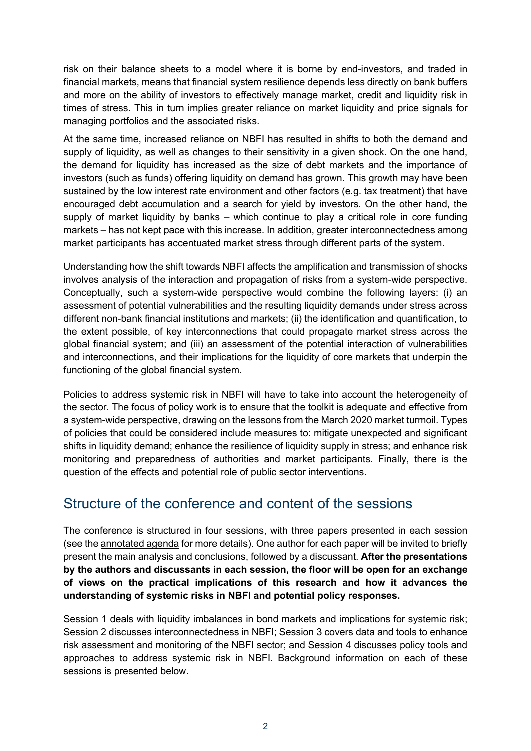risk on their balance sheets to a model where it is borne by end-investors, and traded in financial markets, means that financial system resilience depends less directly on bank buffers and more on the ability of investors to effectively manage market, credit and liquidity risk in times of stress. This in turn implies greater reliance on market liquidity and price signals for managing portfolios and the associated risks.

At the same time, increased reliance on NBFI has resulted in shifts to both the demand and supply of liquidity, as well as changes to their sensitivity in a given shock. On the one hand, the demand for liquidity has increased as the size of debt markets and the importance of investors (such as funds) offering liquidity on demand has grown. This growth may have been sustained by the low interest rate environment and other factors (e.g. tax treatment) that have encouraged debt accumulation and a search for yield by investors. On the other hand, the supply of market liquidity by banks – which continue to play a critical role in core funding markets – has not kept pace with this increase. In addition, greater interconnectedness among market participants has accentuated market stress through different parts of the system.

Understanding how the shift towards NBFI affects the amplification and transmission of shocks involves analysis of the interaction and propagation of risks from a system-wide perspective. Conceptually, such a system-wide perspective would combine the following layers: (i) an assessment of potential vulnerabilities and the resulting liquidity demands under stress across different non-bank financial institutions and markets; (ii) the identification and quantification, to the extent possible, of key interconnections that could propagate market stress across the global financial system; and (iii) an assessment of the potential interaction of vulnerabilities and interconnections, and their implications for the liquidity of core markets that underpin the functioning of the global financial system.

Policies to address systemic risk in NBFI will have to take into account the heterogeneity of the sector. The focus of policy work is to ensure that the toolkit is adequate and effective from a system-wide perspective, drawing on the lessons from the March 2020 market turmoil. Types of policies that could be considered include measures to: mitigate unexpected and significant shifts in liquidity demand; enhance the resilience of liquidity supply in stress; and enhance risk monitoring and preparedness of authorities and market participants. Finally, there is the question of the effects and potential role of public sector interventions.

### Structure of the conference and content of the sessions

The conference is structured in four sessions, with three papers presented in each session (see th[e annotated agenda](https://www.fsb.org/wp-content/uploads/R170522.pdf) for more details). One author for each paper will be invited to briefly present the main analysis and conclusions, followed by a discussant. **After the presentations by the authors and discussants in each session, the floor will be open for an exchange of views on the practical implications of this research and how it advances the understanding of systemic risks in NBFI and potential policy responses.**

Session 1 deals with liquidity imbalances in bond markets and implications for systemic risk; Session 2 discusses interconnectedness in NBFI; Session 3 covers data and tools to enhance risk assessment and monitoring of the NBFI sector; and Session 4 discusses policy tools and approaches to address systemic risk in NBFI. Background information on each of these sessions is presented below.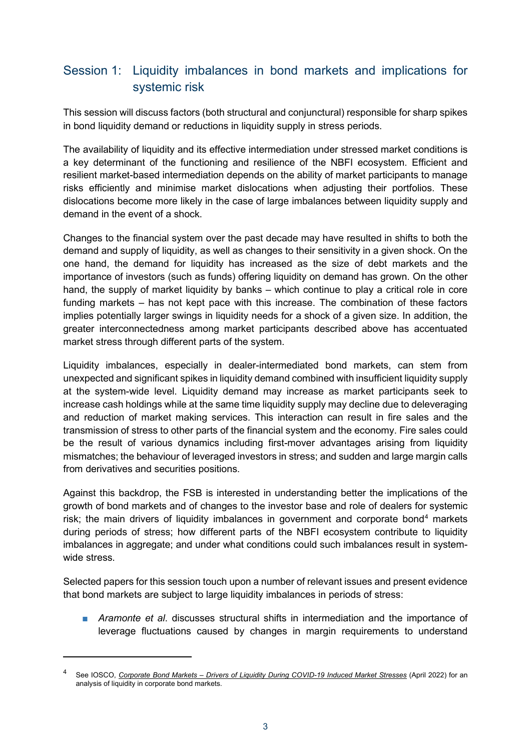#### Session 1: Liquidity imbalances in bond markets and implications for systemic risk

This session will discuss factors (both structural and conjunctural) responsible for sharp spikes in bond liquidity demand or reductions in liquidity supply in stress periods.

The availability of liquidity and its effective intermediation under stressed market conditions is a key determinant of the functioning and resilience of the NBFI ecosystem. Efficient and resilient market-based intermediation depends on the ability of market participants to manage risks efficiently and minimise market dislocations when adjusting their portfolios. These dislocations become more likely in the case of large imbalances between liquidity supply and demand in the event of a shock.

Changes to the financial system over the past decade may have resulted in shifts to both the demand and supply of liquidity, as well as changes to their sensitivity in a given shock. On the one hand, the demand for liquidity has increased as the size of debt markets and the importance of investors (such as funds) offering liquidity on demand has grown. On the other hand, the supply of market liquidity by banks – which continue to play a critical role in core funding markets – has not kept pace with this increase. The combination of these factors implies potentially larger swings in liquidity needs for a shock of a given size. In addition, the greater interconnectedness among market participants described above has accentuated market stress through different parts of the system.

Liquidity imbalances, especially in dealer-intermediated bond markets, can stem from unexpected and significant spikes in liquidity demand combined with insufficient liquidity supply at the system-wide level. Liquidity demand may increase as market participants seek to increase cash holdings while at the same time liquidity supply may decline due to deleveraging and reduction of market making services. This interaction can result in fire sales and the transmission of stress to other parts of the financial system and the economy. Fire sales could be the result of various dynamics including first-mover advantages arising from liquidity mismatches; the behaviour of leveraged investors in stress; and sudden and large margin calls from derivatives and securities positions.

Against this backdrop, the FSB is interested in understanding better the implications of the growth of bond markets and of changes to the investor base and role of dealers for systemic risk; the main drivers of liquidity imbalances in government and corporate bond<sup>[4](#page-2-0)</sup> markets during periods of stress; how different parts of the NBFI ecosystem contribute to liquidity imbalances in aggregate; and under what conditions could such imbalances result in systemwide stress.

Selected papers for this session touch upon a number of relevant issues and present evidence that bond markets are subject to large liquidity imbalances in periods of stress:

■ *Aramonte et al.* discusses structural shifts in intermediation and the importance of leverage fluctuations caused by changes in margin requirements to understand

<span id="page-2-0"></span><sup>4</sup> See IOSCO, *[Corporate Bond Markets – Drivers of Liquidity During COVID-19 Induced Market Stresses](https://www.iosco.org/library/pubdocs/pdf/IOSCOPD700.pdf)* (April 2022) for an analysis of liquidity in corporate bond markets.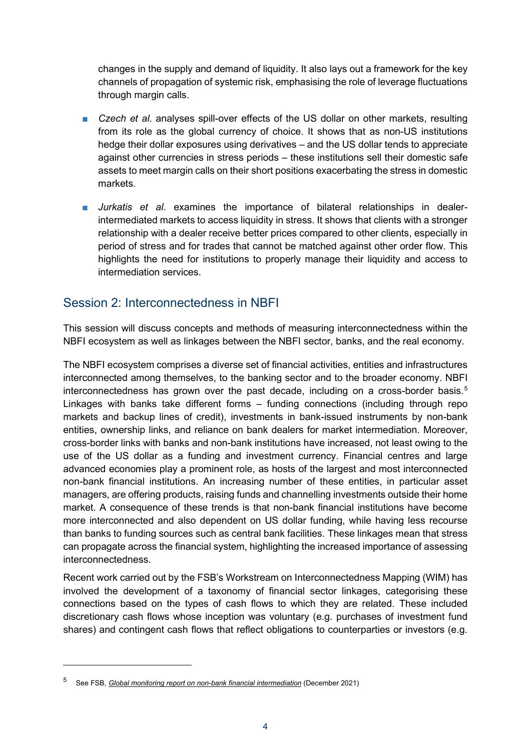changes in the supply and demand of liquidity. It also lays out a framework for the key channels of propagation of systemic risk, emphasising the role of leverage fluctuations through margin calls.

- *Czech et al.* analyses spill-over effects of the US dollar on other markets, resulting from its role as the global currency of choice. It shows that as non-US institutions hedge their dollar exposures using derivatives – and the US dollar tends to appreciate against other currencies in stress periods – these institutions sell their domestic safe assets to meet margin calls on their short positions exacerbating the stress in domestic markets.
- Jurkatis et al. examines the importance of bilateral relationships in dealerintermediated markets to access liquidity in stress. It shows that clients with a stronger relationship with a dealer receive better prices compared to other clients, especially in period of stress and for trades that cannot be matched against other order flow. This highlights the need for institutions to properly manage their liquidity and access to intermediation services.

#### Session 2: Interconnectedness in NBFI

This session will discuss concepts and methods of measuring interconnectedness within the NBFI ecosystem as well as linkages between the NBFI sector, banks, and the real economy.

The NBFI ecosystem comprises a diverse set of financial activities, entities and infrastructures interconnected among themselves, to the banking sector and to the broader economy. NBFI interconnectedness has grown over the past decade, including on a cross-border basis. [5](#page-3-0) Linkages with banks take different forms – funding connections (including through repo markets and backup lines of credit), investments in bank-issued instruments by non-bank entities, ownership links, and reliance on bank dealers for market intermediation. Moreover, cross-border links with banks and non-bank institutions have increased, not least owing to the use of the US dollar as a funding and investment currency. Financial centres and large advanced economies play a prominent role, as hosts of the largest and most interconnected non-bank financial institutions. An increasing number of these entities, in particular asset managers, are offering products, raising funds and channelling investments outside their home market. A consequence of these trends is that non-bank financial institutions have become more interconnected and also dependent on US dollar funding, while having less recourse than banks to funding sources such as central bank facilities. These linkages mean that stress can propagate across the financial system, highlighting the increased importance of assessing interconnectedness.

Recent work carried out by the FSB's Workstream on Interconnectedness Mapping (WIM) has involved the development of a taxonomy of financial sector linkages, categorising these connections based on the types of cash flows to which they are related. These included discretionary cash flows whose inception was voluntary (e.g. purchases of investment fund shares) and contingent cash flows that reflect obligations to counterparties or investors (e.g.

<span id="page-3-0"></span><sup>5</sup> See FSB, *[Global monitoring report on non-bank financial intermediation](https://www.fsb.org/2021/12/global-monitoring-report-on-non-bank-financial-intermediation-2021/)* (December 2021)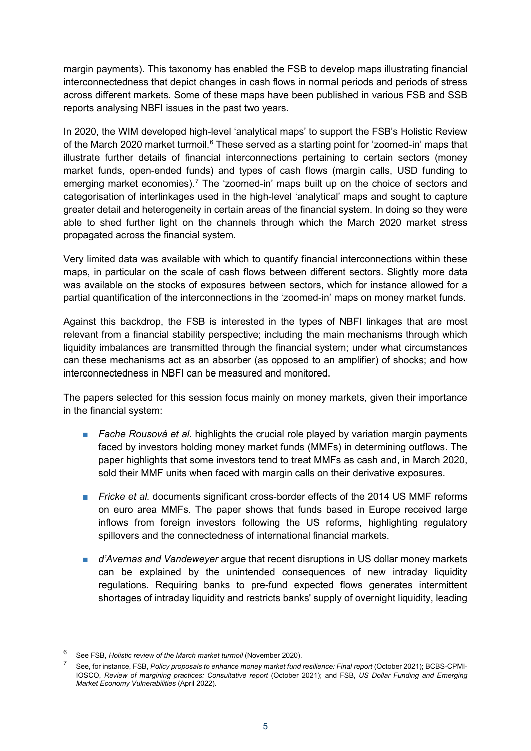margin payments). This taxonomy has enabled the FSB to develop maps illustrating financial interconnectedness that depict changes in cash flows in normal periods and periods of stress across different markets. Some of these maps have been published in various FSB and SSB reports analysing NBFI issues in the past two years.

In 2020, the WIM developed high-level 'analytical maps' to support the FSB's Holistic Review of the March 2020 market turmoil.<sup>[6](#page-4-0)</sup> These served as a starting point for 'zoomed-in' maps that illustrate further details of financial interconnections pertaining to certain sectors (money market funds, open-ended funds) and types of cash flows (margin calls, USD funding to emerging market economies).<sup>[7](#page-4-1)</sup> The 'zoomed-in' maps built up on the choice of sectors and categorisation of interlinkages used in the high-level 'analytical' maps and sought to capture greater detail and heterogeneity in certain areas of the financial system. In doing so they were able to shed further light on the channels through which the March 2020 market stress propagated across the financial system.

Very limited data was available with which to quantify financial interconnections within these maps, in particular on the scale of cash flows between different sectors. Slightly more data was available on the stocks of exposures between sectors, which for instance allowed for a partial quantification of the interconnections in the 'zoomed-in' maps on money market funds.

Against this backdrop, the FSB is interested in the types of NBFI linkages that are most relevant from a financial stability perspective; including the main mechanisms through which liquidity imbalances are transmitted through the financial system; under what circumstances can these mechanisms act as an absorber (as opposed to an amplifier) of shocks; and how interconnectedness in NBFI can be measured and monitored.

The papers selected for this session focus mainly on money markets, given their importance in the financial system:

- *Fache Rousová et al.* highlights the crucial role played by variation margin payments faced by investors holding money market funds (MMFs) in determining outflows. The paper highlights that some investors tend to treat MMFs as cash and, in March 2020, sold their MMF units when faced with margin calls on their derivative exposures.
- *Fricke et al.* documents significant cross-border effects of the 2014 US MMF reforms on euro area MMFs. The paper shows that funds based in Europe received large inflows from foreign investors following the US reforms, highlighting regulatory spillovers and the connectedness of international financial markets.
- *d'Avernas and Vandeweyer* argue that recent disruptions in US dollar money markets can be explained by the unintended consequences of new intraday liquidity regulations. Requiring banks to pre-fund expected flows generates intermittent shortages of intraday liquidity and restricts banks' supply of overnight liquidity, leading

<span id="page-4-1"></span><span id="page-4-0"></span><sup>6</sup> See FSB, *[Holistic review of the March market turmoil](https://www.fsb.org/2020/11/holistic-review-of-the-march-market-turmoil/)* (November 2020).

<sup>7</sup> See, for instance, FSB, *[Policy proposals to enhance money market fund resilience: Final report](https://www.fsb.org/2021/10/policy-proposals-to-enhance-money-market-fund-resilience-final-report/)* (October 2021); BCBS-CPMI-IOSCO, *[Review of margining practices:](https://www.bis.org/bcbs/publ/d526.htm) Consultative report* (October 2021); and FSB, *[US Dollar Funding and Emerging](https://www.fsb.org/2022/04/us-dollar-funding-and-emerging-market-economy-vulnerabilities/)  [Market Economy Vulnerabilities](https://www.fsb.org/2022/04/us-dollar-funding-and-emerging-market-economy-vulnerabilities/)* (April 2022).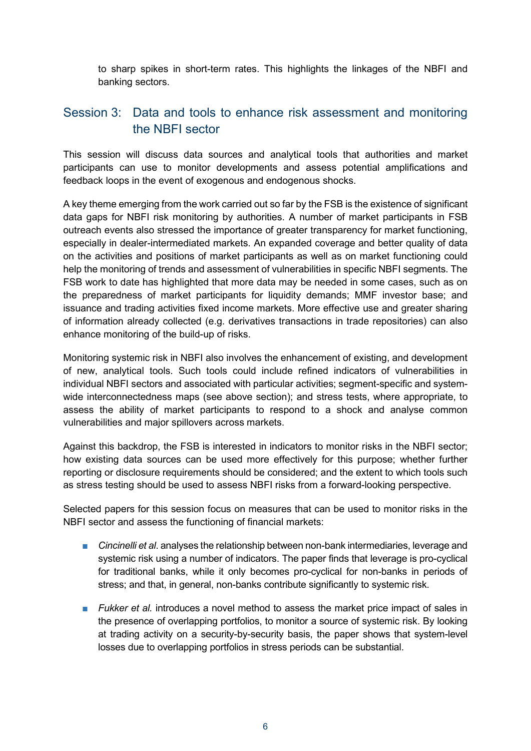to sharp spikes in short-term rates. This highlights the linkages of the NBFI and banking sectors.

#### Session 3: Data and tools to enhance risk assessment and monitoring the NBFI sector

This session will discuss data sources and analytical tools that authorities and market participants can use to monitor developments and assess potential amplifications and feedback loops in the event of exogenous and endogenous shocks.

A key theme emerging from the work carried out so far by the FSB is the existence of significant data gaps for NBFI risk monitoring by authorities. A number of market participants in FSB outreach events also stressed the importance of greater transparency for market functioning, especially in dealer-intermediated markets. An expanded coverage and better quality of data on the activities and positions of market participants as well as on market functioning could help the monitoring of trends and assessment of vulnerabilities in specific NBFI segments. The FSB work to date has highlighted that more data may be needed in some cases, such as on the preparedness of market participants for liquidity demands; MMF investor base; and issuance and trading activities fixed income markets. More effective use and greater sharing of information already collected (e.g. derivatives transactions in trade repositories) can also enhance monitoring of the build-up of risks.

Monitoring systemic risk in NBFI also involves the enhancement of existing, and development of new, analytical tools. Such tools could include refined indicators of vulnerabilities in individual NBFI sectors and associated with particular activities; segment-specific and systemwide interconnectedness maps (see above section); and stress tests, where appropriate, to assess the ability of market participants to respond to a shock and analyse common vulnerabilities and major spillovers across markets.

Against this backdrop, the FSB is interested in indicators to monitor risks in the NBFI sector; how existing data sources can be used more effectively for this purpose; whether further reporting or disclosure requirements should be considered; and the extent to which tools such as stress testing should be used to assess NBFI risks from a forward-looking perspective.

Selected papers for this session focus on measures that can be used to monitor risks in the NBFI sector and assess the functioning of financial markets:

- *Cincinelli et al.* analyses the relationship between non-bank intermediaries, leverage and systemic risk using a number of indicators. The paper finds that leverage is pro-cyclical for traditional banks, while it only becomes pro-cyclical for non-banks in periods of stress; and that, in general, non-banks contribute significantly to systemic risk.
- *Fukker et al.* introduces a novel method to assess the market price impact of sales in the presence of overlapping portfolios, to monitor a source of systemic risk. By looking at trading activity on a security-by-security basis, the paper shows that system-level losses due to overlapping portfolios in stress periods can be substantial.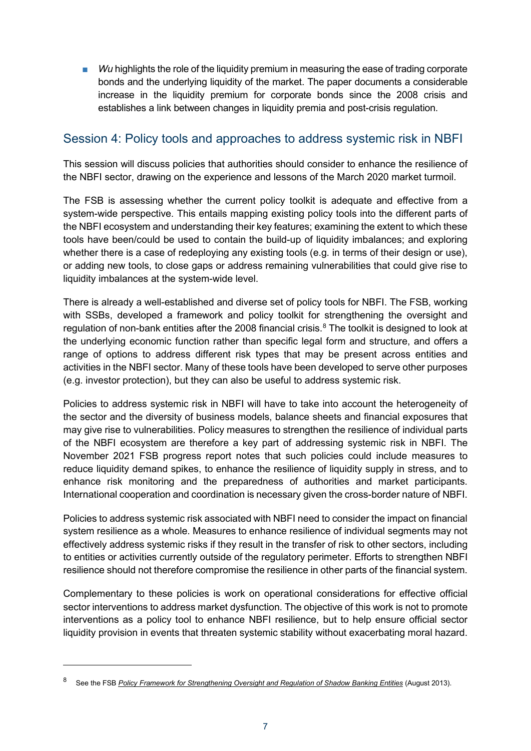Wu highlights the role of the liquidity premium in measuring the ease of trading corporate bonds and the underlying liquidity of the market. The paper documents a considerable increase in the liquidity premium for corporate bonds since the 2008 crisis and establishes a link between changes in liquidity premia and post-crisis regulation.

#### Session 4: Policy tools and approaches to address systemic risk in NBFI

This session will discuss policies that authorities should consider to enhance the resilience of the NBFI sector, drawing on the experience and lessons of the March 2020 market turmoil.

The FSB is assessing whether the current policy toolkit is adequate and effective from a system-wide perspective. This entails mapping existing policy tools into the different parts of the NBFI ecosystem and understanding their key features; examining the extent to which these tools have been/could be used to contain the build-up of liquidity imbalances; and exploring whether there is a case of redeploying any existing tools (e.g. in terms of their design or use), or adding new tools, to close gaps or address remaining vulnerabilities that could give rise to liquidity imbalances at the system-wide level.

There is already a well-established and diverse set of policy tools for NBFI. The FSB, working with SSBs, developed a framework and policy toolkit for strengthening the oversight and regulation of non-bank entities after the 200[8](#page-6-0) financial crisis. $^{\rm 8}$  The toolkit is designed to look at the underlying economic function rather than specific legal form and structure, and offers a range of options to address different risk types that may be present across entities and activities in the NBFI sector. Many of these tools have been developed to serve other purposes (e.g. investor protection), but they can also be useful to address systemic risk.

Policies to address systemic risk in NBFI will have to take into account the heterogeneity of the sector and the diversity of business models, balance sheets and financial exposures that may give rise to vulnerabilities. Policy measures to strengthen the resilience of individual parts of the NBFI ecosystem are therefore a key part of addressing systemic risk in NBFI. The November 2021 FSB progress report notes that such policies could include measures to reduce liquidity demand spikes, to enhance the resilience of liquidity supply in stress, and to enhance risk monitoring and the preparedness of authorities and market participants. International cooperation and coordination is necessary given the cross-border nature of NBFI.

Policies to address systemic risk associated with NBFI need to consider the impact on financial system resilience as a whole. Measures to enhance resilience of individual segments may not effectively address systemic risks if they result in the transfer of risk to other sectors, including to entities or activities currently outside of the regulatory perimeter. Efforts to strengthen NBFI resilience should not therefore compromise the resilience in other parts of the financial system.

Complementary to these policies is work on operational considerations for effective official sector interventions to address market dysfunction. The objective of this work is not to promote interventions as a policy tool to enhance NBFI resilience, but to help ensure official sector liquidity provision in events that threaten systemic stability without exacerbating moral hazard.

<span id="page-6-0"></span><sup>8</sup> See the FSB *[Policy Framework for Strengthening Oversight and Regulation of Shadow Banking Entities](https://www.fsb.org/2013/08/r_130829c/)* (August 2013).